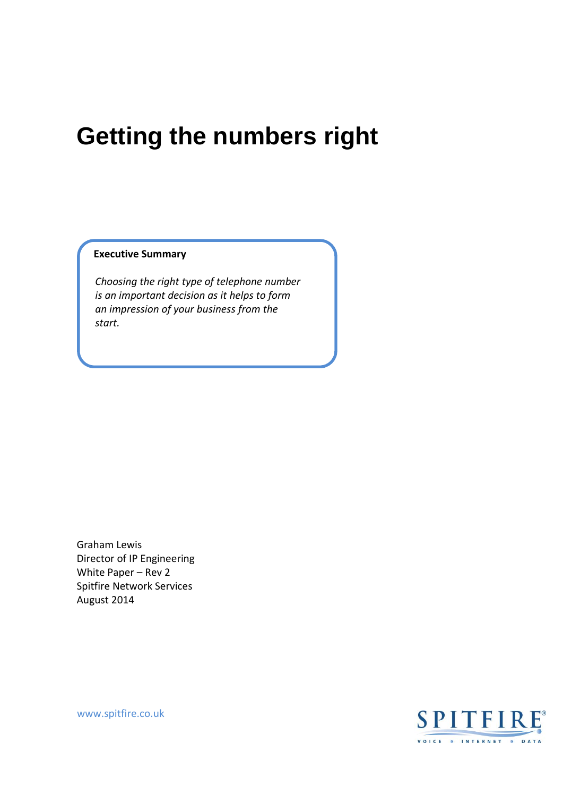# **Getting the numbers right**

#### **Executive Summary**

*Choosing the right type of telephone number is an important decision as it helps to form an impression of your business from the start.*

Graham Lewis Director of IP Engineering White Paper – Rev 2 Spitfire Network Services August 2014

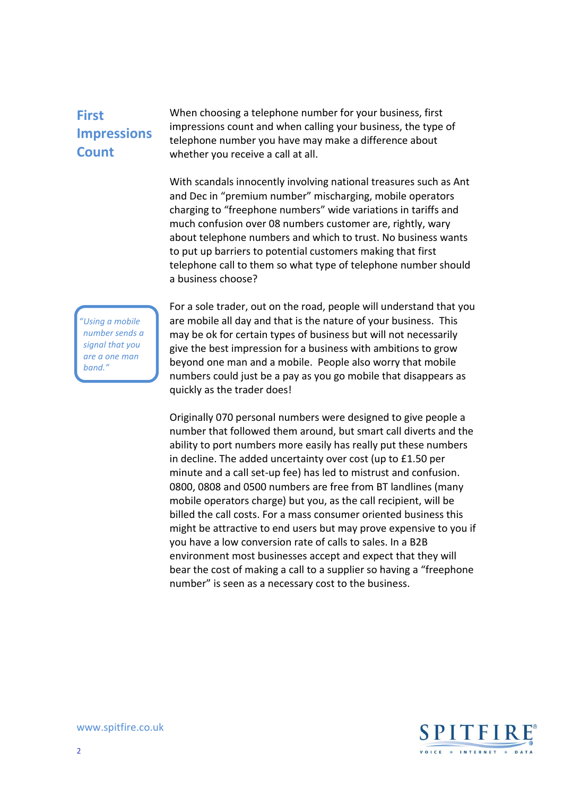#### **First Impressions Count**

When choosing a telephone number for your business, first impressions count and when calling your business, the type of telephone number you have may make a difference about whether you receive a call at all.

With scandals innocently involving national treasures such as Ant and Dec in "premium number" mischarging, mobile operators charging to "freephone numbers" wide variations in tariffs and much confusion over 08 numbers customer are, rightly, wary about telephone numbers and which to trust. No business wants to put up barriers to potential customers making that first telephone call to them so what type of telephone number should a business choose?

*"Using a mobile number sends a signal that you are a one man band."*

For a sole trader, out on the road, people will understand that you are mobile all day and that is the nature of your business. This may be ok for certain types of business but will not necessarily give the best impression for a business with ambitions to grow beyond one man and a mobile. People also worry that mobile numbers could just be a pay as you go mobile that disappears as quickly as the trader does!

Originally 070 personal numbers were designed to give people a number that followed them around, but smart call diverts and the ability to port numbers more easily has really put these numbers in decline. The added uncertainty over cost (up to £1.50 per minute and a call set-up fee) has led to mistrust and confusion. 0800, 0808 and 0500 numbers are free from BT landlines (many mobile operators charge) but you, as the call recipient, will be billed the call costs. For a mass consumer oriented business this might be attractive to end users but may prove expensive to you if you have a low conversion rate of calls to sales. In a B2B environment most businesses accept and expect that they will bear the cost of making a call to a supplier so having a "freephone number" is seen as a necessary cost to the business.

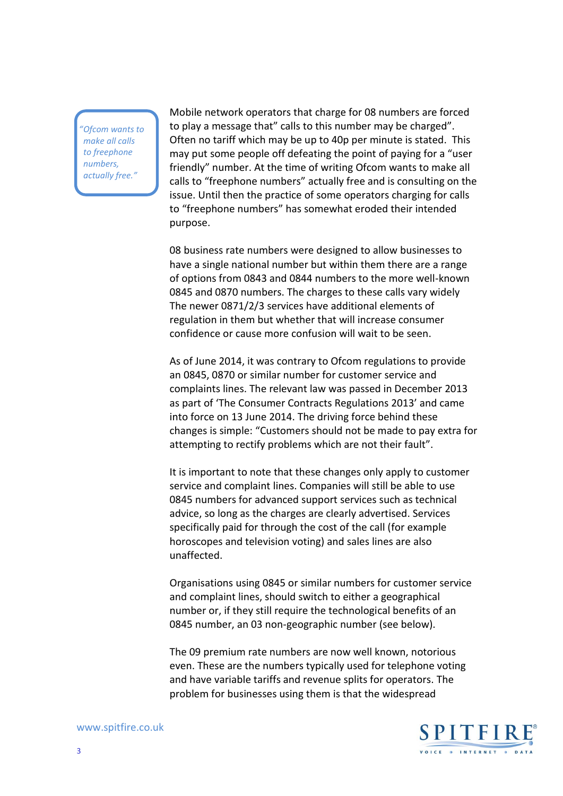*"Ofcom wants to make all calls to freephone numbers, actually free."*

Mobile network operators that charge for 08 numbers are forced to play a message that" calls to this number may be charged". Often no tariff which may be up to 40p per minute is stated. This may put some people off defeating the point of paying for a "user friendly" number. At the time of writing Ofcom wants to make all calls to "freephone numbers" actually free and is consulting on the issue. Until then the practice of some operators charging for calls to "freephone numbers" has somewhat eroded their intended purpose.

08 business rate numbers were designed to allow businesses to have a single national number but within them there are a range of options from 0843 and 0844 numbers to the more well-known 0845 and 0870 numbers. The charges to these calls vary widely The newer 0871/2/3 services have additional elements of regulation in them but whether that will increase consumer confidence or cause more confusion will wait to be seen.

As of June 2014, it was contrary to Ofcom regulations to provide an 0845, 0870 or similar number for customer service and complaints lines. The relevant law was passed in December 2013 as part of 'The Consumer Contracts Regulations 2013' and came into force on 13 June 2014. The driving force behind these changes is simple: "Customers should not be made to pay extra for attempting to rectify problems which are not their fault".

It is important to note that these changes only apply to customer service and complaint lines. Companies will still be able to use 0845 numbers for advanced support services such as technical advice, so long as the charges are clearly advertised. Services specifically paid for through the cost of the call (for example horoscopes and television voting) and sales lines are also unaffected.

Organisations using 0845 or similar numbers for customer service and complaint lines, should switch to either a geographical number or, if they still require the technological benefits of an 0845 number, an 03 non-geographic number (see below).

The 09 premium rate numbers are now well known, notorious even. These are the numbers typically used for telephone voting and have variable tariffs and revenue splits for operators. The problem for businesses using them is that the widespread

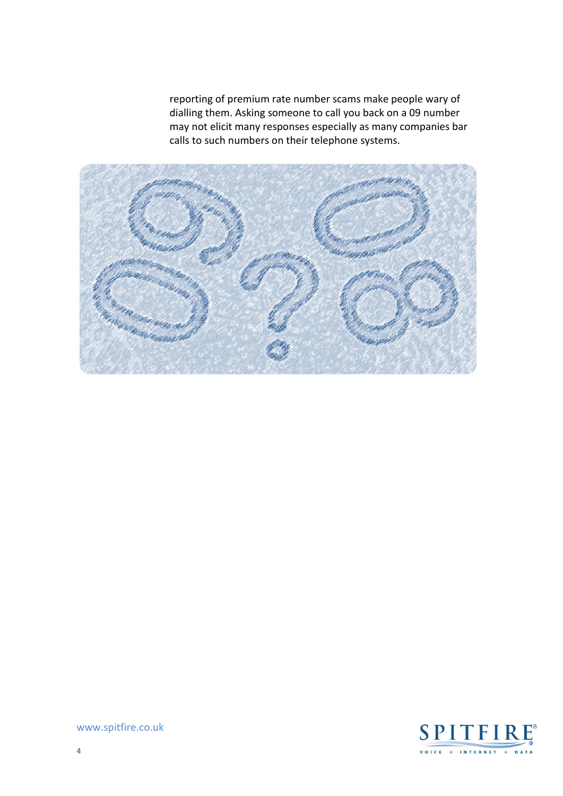reporting of premium rate number scams make people wary of dialling them. Asking someone to call you back on a 09 number may not elicit many responses especially as many companies bar calls to such numbers on their telephone systems.



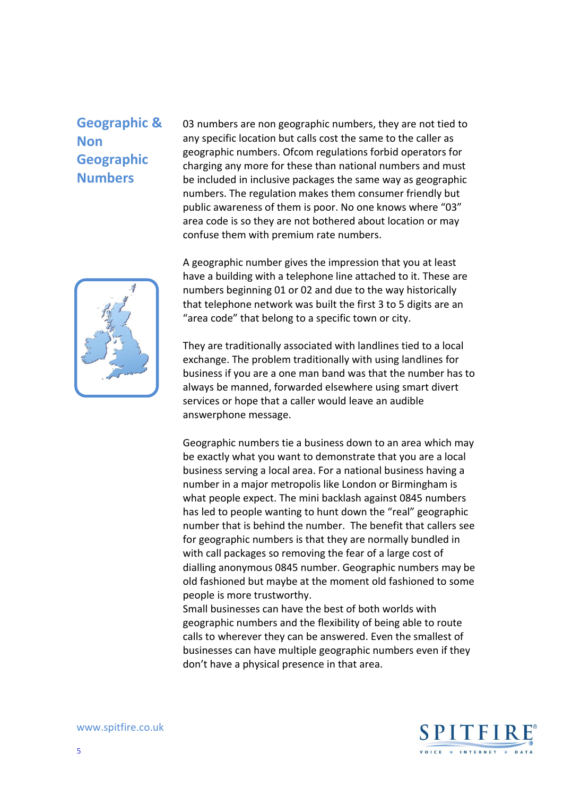## **Geographic & Non Geographic Numbers**

03 numbers are non geographic numbers, they are not tied to any specific location but calls cost the same to the caller as geographic numbers. Ofcom regulations forbid operators for charging any more for these than national numbers and must be included in inclusive packages the same way as geographic numbers. The regulation makes them consumer friendly but public awareness of them is poor. No one knows where "03" area code is so they are not bothered about location or may confuse them with premium rate numbers.



A geographic number gives the impression that you at least have a building with a telephone line attached to it. These are numbers beginning 01 or 02 and due to the way historically that telephone network was built the first 3 to 5 digits are an "area code" that belong to a specific town or city.

They are traditionally associated with landlines tied to a local exchange. The problem traditionally with using landlines for business if you are a one man band was that the number has to always be manned, forwarded elsewhere using smart divert services or hope that a caller would leave an audible answerphone message.

Geographic numbers tie a business down to an area which may be exactly what you want to demonstrate that you are a local business serving a local area. For a national business having a number in a major metropolis like London or Birmingham is what people expect. The mini backlash against 0845 numbers has led to people wanting to hunt down the "real" geographic number that is behind the number. The benefit that callers see for geographic numbers is that they are normally bundled in with call packages so removing the fear of a large cost of dialling anonymous 0845 number. Geographic numbers may be old fashioned but maybe at the moment old fashioned to some people is more trustworthy.

Small businesses can have the best of both worlds with geographic numbers and the flexibility of being able to route calls to wherever they can be answered. Even the smallest of businesses can have multiple geographic numbers even if they don't have a physical presence in that area.

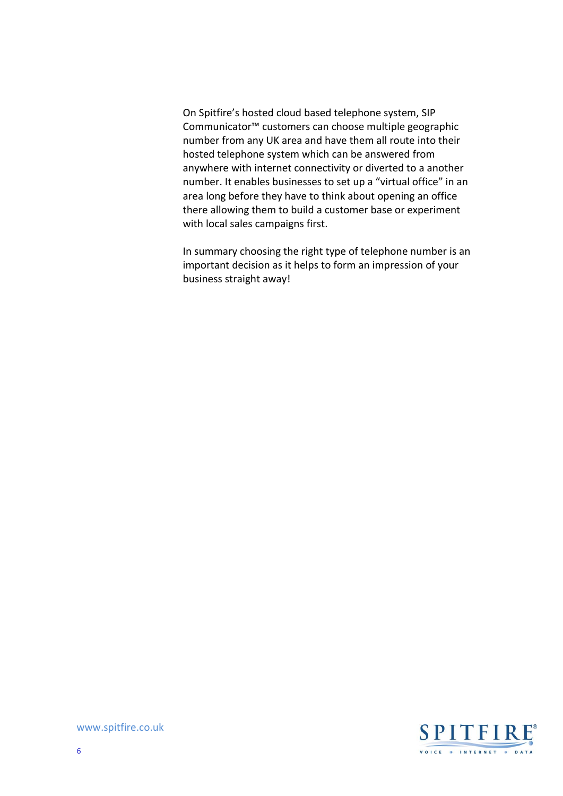On Spitfire's hosted cloud based telephone system, SIP Communicator™ customers can choose multiple geographic number from any UK area and have them all route into their hosted telephone system which can be answered from anywhere with internet connectivity or diverted to a another number. It enables businesses to set up a "virtual office" in an area long before they have to think about opening an office there allowing them to build a customer base or experiment with local sales campaigns first.

In summary choosing the right type of telephone number is an important decision as it helps to form an impression of your business straight away!